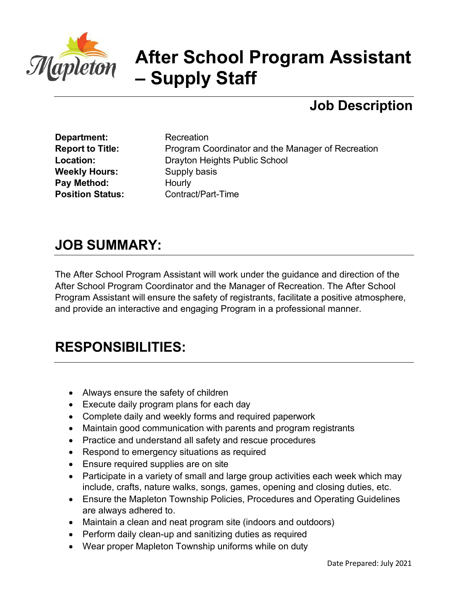

# **After School Program Assistant – Supply Staff**

## **Job Description**

**Department:** Recreation **Weekly Hours:** Supply basis **Pay Method:** Hourly

**Report to Title:** Program Coordinator and the Manager of Recreation **Location:** Drayton Heights Public School **Position Status:** Contract/Part-Time

#### **JOB SUMMARY:**

The After School Program Assistant will work under the guidance and direction of the After School Program Coordinator and the Manager of Recreation. The After School Program Assistant will ensure the safety of registrants, facilitate a positive atmosphere, and provide an interactive and engaging Program in a professional manner.

## **RESPONSIBILITIES:**

- Always ensure the safety of children
- Execute daily program plans for each day
- Complete daily and weekly forms and required paperwork
- Maintain good communication with parents and program registrants
- Practice and understand all safety and rescue procedures
- Respond to emergency situations as required
- Ensure required supplies are on site
- Participate in a variety of small and large group activities each week which may include, crafts, nature walks, songs, games, opening and closing duties, etc.
- Ensure the Mapleton Township Policies, Procedures and Operating Guidelines are always adhered to.
- Maintain a clean and neat program site (indoors and outdoors)
- Perform daily clean-up and sanitizing duties as required
- Wear proper Mapleton Township uniforms while on duty